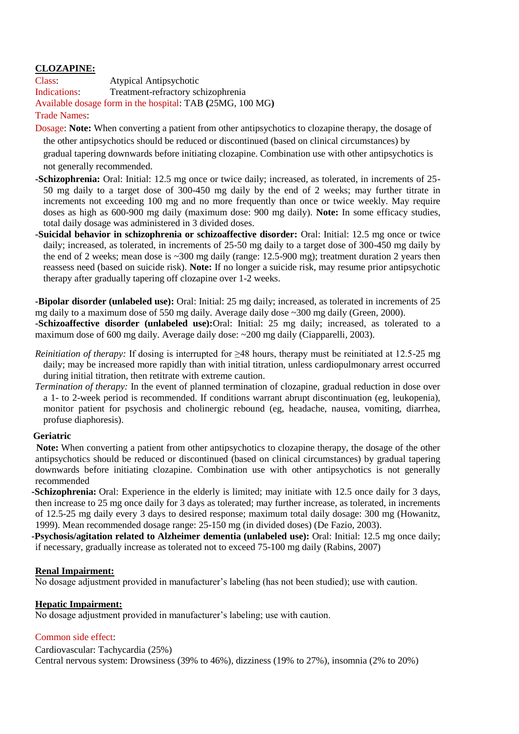# **CLOZAPINE:**

Class: Atypical Antipsychotic Indications: Treatment-refractory schizophrenia Available dosage form in the hospital: TAB **(**25MG, 100 MG**)**

### Trade Names:

Dosage: **Note:** When converting a patient from other antipsychotics to clozapine therapy, the dosage of the other antipsychotics should be reduced or discontinued (based on clinical circumstances) by gradual tapering downwards before initiating clozapine. Combination use with other antipsychotics is not generally recommended.

- **-Schizophrenia:** Oral: Initial: 12.5 mg once or twice daily; increased, as tolerated, in increments of 25- 50 mg daily to a target dose of 300-450 mg daily by the end of 2 weeks; may further titrate in increments not exceeding 100 mg and no more frequently than once or twice weekly. May require doses as high as 600-900 mg daily (maximum dose: 900 mg daily). **Note:** In some efficacy studies, total daily dosage was administered in 3 divided doses.
- **-Suicidal behavior in schizophrenia or schizoaffective disorder:** Oral: Initial: 12.5 mg once or twice daily; increased, as tolerated, in increments of 25-50 mg daily to a target dose of 300-450 mg daily by the end of 2 weeks; mean dose is ~300 mg daily (range: 12.5-900 mg); treatment duration 2 years then reassess need (based on suicide risk). **Note:** If no longer a suicide risk, may resume prior antipsychotic therapy after gradually tapering off clozapine over 1-2 weeks.

**-Bipolar disorder (unlabeled use):** Oral: Initial: 25 mg daily; increased, as tolerated in increments of 25 mg daily to a maximum dose of 550 mg daily. Average daily dose ~300 mg daily (Green, 2000).

**-Schizoaffective disorder (unlabeled use):**Oral: Initial: 25 mg daily; increased, as tolerated to a maximum dose of 600 mg daily. Average daily dose: ~200 mg daily (Ciapparelli, 2003).

- *Reinitiation of therapy:* If dosing is interrupted for ≥48 hours, therapy must be reinitiated at 12.5-25 mg daily; may be increased more rapidly than with initial titration, unless cardiopulmonary arrest occurred during initial titration, then retitrate with extreme caution.
- *Termination of therapy:* In the event of planned termination of clozapine, gradual reduction in dose over a 1- to 2-week period is recommended. If conditions warrant abrupt discontinuation (eg, leukopenia), monitor patient for psychosis and cholinergic rebound (eg, headache, nausea, vomiting, diarrhea, profuse diaphoresis).

## **Geriatric**

 **Note:** When converting a patient from other antipsychotics to clozapine therapy, the dosage of the other antipsychotics should be reduced or discontinued (based on clinical circumstances) by gradual tapering downwards before initiating clozapine. Combination use with other antipsychotics is not generally recommended

**-Schizophrenia:** Oral: Experience in the elderly is limited; may initiate with 12.5 once daily for 3 days, then increase to 25 mg once daily for 3 days as tolerated; may further increase, as tolerated, in increments of 12.5-25 mg daily every 3 days to desired response; maximum total daily dosage: 300 mg (Howanitz, 1999). Mean recommended dosage range: 25-150 mg (in divided doses) (De Fazio, 2003).

**-Psychosis/agitation related to Alzheimer dementia (unlabeled use):** Oral: Initial: 12.5 mg once daily; if necessary, gradually increase as tolerated not to exceed 75-100 mg daily (Rabins, 2007)

#### **Renal Impairment:**

No dosage adjustment provided in manufacturer's labeling (has not been studied); use with caution.

#### **Hepatic Impairment:**

No dosage adjustment provided in manufacturer's labeling; use with caution.

## Common side effect:

Cardiovascular: Tachycardia (25%) Central nervous system: Drowsiness (39% to 46%), dizziness (19% to 27%), insomnia (2% to 20%)